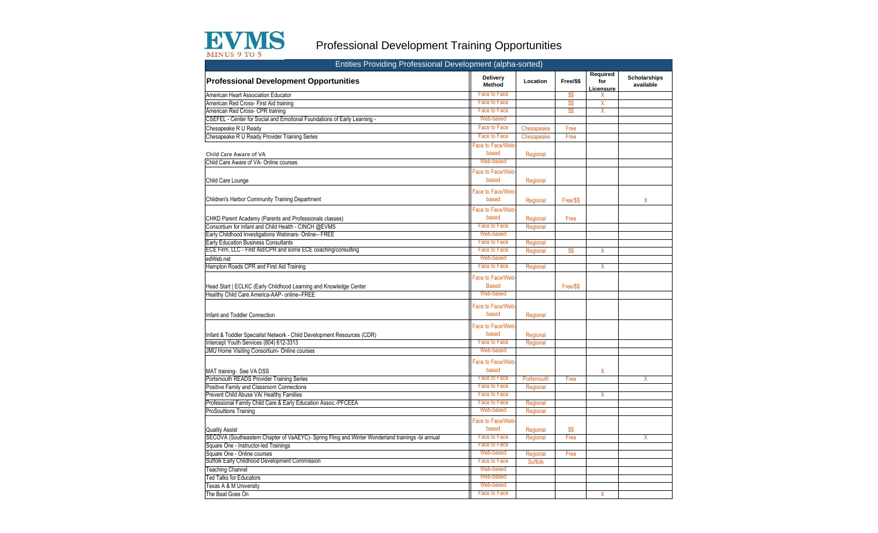

## Professional Development Training Opportunities

| Entities Providing Professional Development (alpha-sorted)                                       |                                  |                |           |                              |                                  |
|--------------------------------------------------------------------------------------------------|----------------------------------|----------------|-----------|------------------------------|----------------------------------|
| <b>Professional Development Opportunities</b>                                                    | <b>Delivery</b><br>Method        | Location       | Free/\$\$ | Required<br>for<br>Licensure | <b>Scholarships</b><br>available |
| American Heart Association Educator                                                              | <b>Face to Face</b>              |                | \$\$      | X                            |                                  |
| American Red Cross- First Aid training                                                           | Face to Face                     |                | \$\$      | X                            |                                  |
| American Red Cross- CPR training                                                                 | Face to Face                     |                | \$\$      | Χ                            |                                  |
| CSEFEL - Center for Social and Emotional Foundations of Early Learning -                         | Web-based                        |                |           |                              |                                  |
| Chesapeake R U Ready                                                                             | Face to Face                     | Chesapeake     | Free      |                              |                                  |
| Chesapeake R U Ready Provider Training Series                                                    | Face to Face                     | Chesapeake     | Free      |                              |                                  |
|                                                                                                  | Face to Face/Web                 |                |           |                              |                                  |
| Child Care Aware of VA                                                                           | based                            | Regional       |           |                              |                                  |
| Child Care Aware of VA- Online courses                                                           | Web-based                        |                |           |                              |                                  |
|                                                                                                  | Face to Face/Web                 |                |           |                              |                                  |
| Child Care Lounge                                                                                | based                            | Regional       |           |                              |                                  |
|                                                                                                  |                                  |                |           |                              |                                  |
|                                                                                                  | <b>Face to Face/Web</b>          |                |           |                              |                                  |
| Children's Harbor Community Training Department                                                  | based                            | Regional       | Free/\$\$ |                              | X                                |
|                                                                                                  | Face to Face/Web                 |                |           |                              |                                  |
| CHKD Parent Academy (Parents and Professionals classes)                                          | based                            | Regional       | Free      |                              |                                  |
| Consortium for Infant and Child Health - CINCH @EVMS                                             | Face to Face                     | Regional       |           |                              |                                  |
| Early Childhood Investigations Webinars- Online-- FREE                                           | Web-based                        |                |           |                              |                                  |
| <b>Early Education Business Consultants</b>                                                      | Face to Face                     | Regional       |           |                              |                                  |
| ECE Firm, LLC - First Aid/CPR and some ECE coaching/consulting                                   | <b>Face to Face</b>              | Regional       | - \$\$    | X                            |                                  |
| edWeb.net                                                                                        | Web-based                        |                |           |                              |                                  |
| Hampton Roads CPR and First Aid Training                                                         | Face to Face                     | Regional       |           | X                            |                                  |
| Head Start   ECLKC (Early Childhood Learning and Knowledge Center                                | Face to Face/Web<br><b>Based</b> |                | Free/\$\$ |                              |                                  |
| Healthy Child Care America-AAP- online--FREE                                                     | Web-based                        |                |           |                              |                                  |
| Infant and Toddler Connection                                                                    | Face to Face/Web-<br>based       | Regional       |           |                              |                                  |
| Infant & Toddler Specialist Network - Child Development Resources (CDR)                          | <b>Face to Face/Web</b><br>based | Regional       |           |                              |                                  |
| Intercept Youth Services (804) 612-3313                                                          | <b>Face to Face</b>              | Regional       |           |                              |                                  |
| JMU Home Visiting Consortium- Online courses                                                     | Web-based                        |                |           |                              |                                  |
| MAT training- See VA DSS                                                                         | <b>Face to Face/Web</b><br>based |                |           | Χ                            |                                  |
| Portsmouth READS Provider Training Series                                                        | <b>Face to Face</b>              | Portsmouth     | Free      |                              | X                                |
| Positive Family and Classroom Connections                                                        | Face to Face                     | Regional       |           |                              |                                  |
| Prevent Child Abuse VA/ Healthy Families                                                         | <b>Face to Face</b>              |                |           | X                            |                                  |
| Professional Family Child Care & Early Education Assoc.-PFCEEA                                   | <b>Face to Face</b>              | Regional       |           |                              |                                  |
| ProSoultions Training                                                                            | Web-based                        | Regional       |           |                              |                                  |
|                                                                                                  | <b>Face to Face/Web</b>          |                |           |                              |                                  |
| <b>Quality Assist</b>                                                                            | based                            | Regional       | \$\$      |                              |                                  |
| SECOVA (Southeastern Chapter of VaAEYC)- Spring Fling and Winter Wonderland trainings -bi annual | <b>Face to Face</b>              | Regional       | Free      |                              | χ                                |
| Square One - Instructor-led Trainings                                                            | <b>Face to Face</b>              |                |           |                              |                                  |
| Square One - Online courses                                                                      | Web-based                        | Regional       | Free      |                              |                                  |
| Suffolk Early Childhood Development Commission                                                   | <b>Face to Face</b>              | <b>Suffolk</b> |           |                              |                                  |
| <b>Teaching Channel</b>                                                                          | Web-based                        |                |           |                              |                                  |
| <b>Ted Talks for Educators</b>                                                                   | Web-based                        |                |           |                              |                                  |
| Texas A & M University                                                                           | Web-based                        |                |           |                              |                                  |
| The Beat Goes On                                                                                 | <b>Face to Face</b>              |                |           | Χ                            |                                  |
|                                                                                                  |                                  |                |           |                              |                                  |